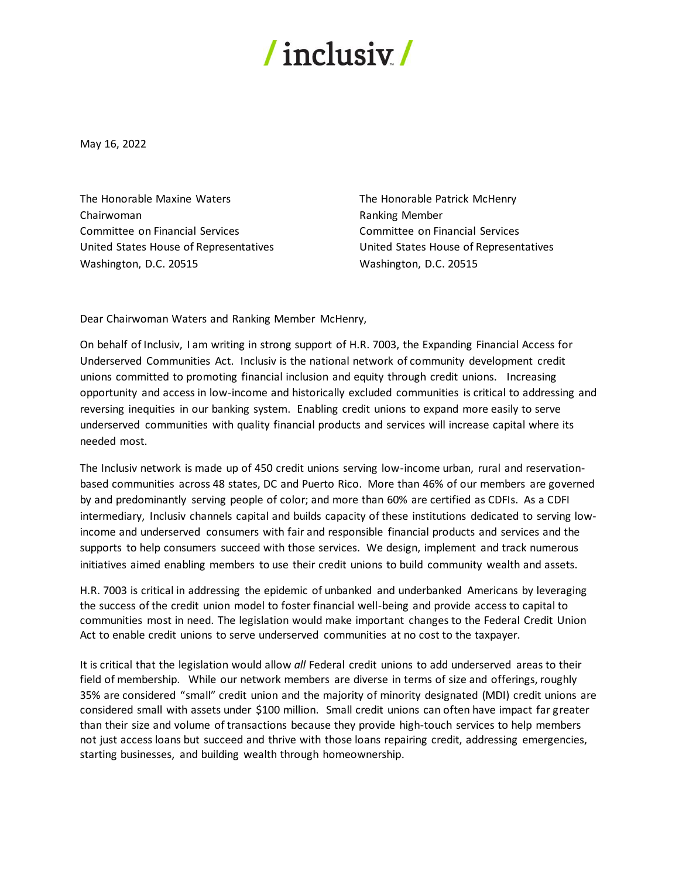## $/$  inclusiv $/$

May 16, 2022

The Honorable Maxine Waters Chairwoman Committee on Financial Services United States House of Representatives Washington, D.C. 20515

The Honorable Patrick McHenry Ranking Member Committee on Financial Services United States House of Representatives Washington, D.C. 20515

Dear Chairwoman Waters and Ranking Member McHenry,

On behalf of Inclusiv, I am writing in strong support of H.R. 7003, the Expanding Financial Access for Underserved Communities Act. Inclusiv is the national network of community development credit unions committed to promoting financial inclusion and equity through credit unions. Increasing opportunity and access in low-income and historically excluded communities is critical to addressing and reversing inequities in our banking system. Enabling credit unions to expand more easily to serve underserved communities with quality financial products and services will increase capital where its needed most.

The Inclusiv network is made up of 450 credit unions serving low-income urban, rural and reservationbased communities across 48 states, DC and Puerto Rico. More than 46% of our members are governed by and predominantly serving people of color; and more than 60% are certified as CDFIs. As a CDFI intermediary, Inclusiv channels capital and builds capacity of these institutions dedicated to serving lowincome and underserved consumers with fair and responsible financial products and services and the supports to help consumers succeed with those services. We design, implement and track numerous initiatives aimed enabling members to use their credit unions to build community wealth and assets.

H.R. 7003 is critical in addressing the epidemic of unbanked and underbanked Americans by leveraging the success of the credit union model to foster financial well-being and provide access to capital to communities most in need. The legislation would make important changes to the Federal Credit Union Act to enable credit unions to serve underserved communities at no cost to the taxpayer.

It is critical that the legislation would allow *all* Federal credit unions to add underserved areas to their field of membership. While our network members are diverse in terms of size and offerings, roughly 35% are considered "small" credit union and the majority of minority designated (MDI) credit unions are considered small with assets under \$100 million. Small credit unions can often have impact far greater than their size and volume of transactions because they provide high-touch services to help members not just access loans but succeed and thrive with those loans repairing credit, addressing emergencies, starting businesses, and building wealth through homeownership.